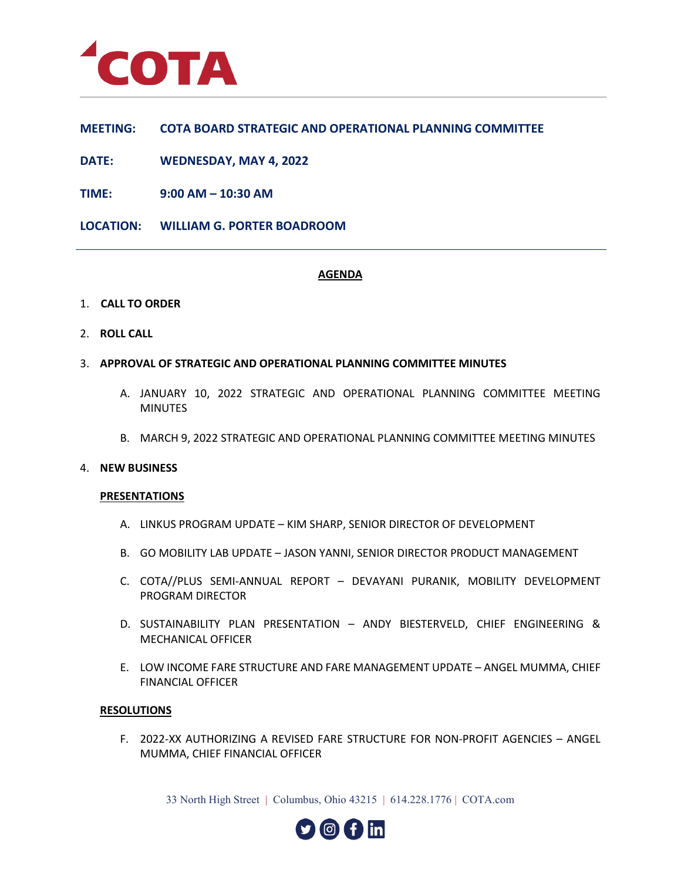

# **MEETING: COTA BOARD STRATEGIC AND OPERATIONAL PLANNING COMMITTEE**

**DATE: WEDNESDAY, MAY 4, 2022**

**TIME: 9:00 AM – 10:30 AM**

**LOCATION: WILLIAM G. PORTER BOADROOM**

## **AGENDA**

- 1. **CALL TO ORDER**
- 2. **ROLL CALL**
- 3. **APPROVAL OF STRATEGIC AND OPERATIONAL PLANNING COMMITTEE MINUTES**
	- A. JANUARY 10, 2022 STRATEGIC AND OPERATIONAL PLANNING COMMITTEE MEETING **MINUTES**
	- B. MARCH 9, 2022 STRATEGIC AND OPERATIONAL PLANNING COMMITTEE MEETING MINUTES

#### 4. **NEW BUSINESS**

#### **PRESENTATIONS**

- A. LINKUS PROGRAM UPDATE KIM SHARP, SENIOR DIRECTOR OF DEVELOPMENT
- B. GO MOBILITY LAB UPDATE JASON YANNI, SENIOR DIRECTOR PRODUCT MANAGEMENT
- C. COTA//PLUS SEMI-ANNUAL REPORT DEVAYANI PURANIK, MOBILITY DEVELOPMENT PROGRAM DIRECTOR
- D. SUSTAINABILITY PLAN PRESENTATION ANDY BIESTERVELD, CHIEF ENGINEERING & MECHANICAL OFFICER
- E. LOW INCOME FARE STRUCTURE AND FARE MANAGEMENT UPDATE ANGEL MUMMA, CHIEF FINANCIAL OFFICER

#### **RESOLUTIONS**

F. 2022-XX AUTHORIZING A REVISED FARE STRUCTURE FOR NON-PROFIT AGENCIES – ANGEL MUMMA, CHIEF FINANCIAL OFFICER

33 North High Street | Columbus, Ohio 43215 | 614.228.1776 | COTA.com